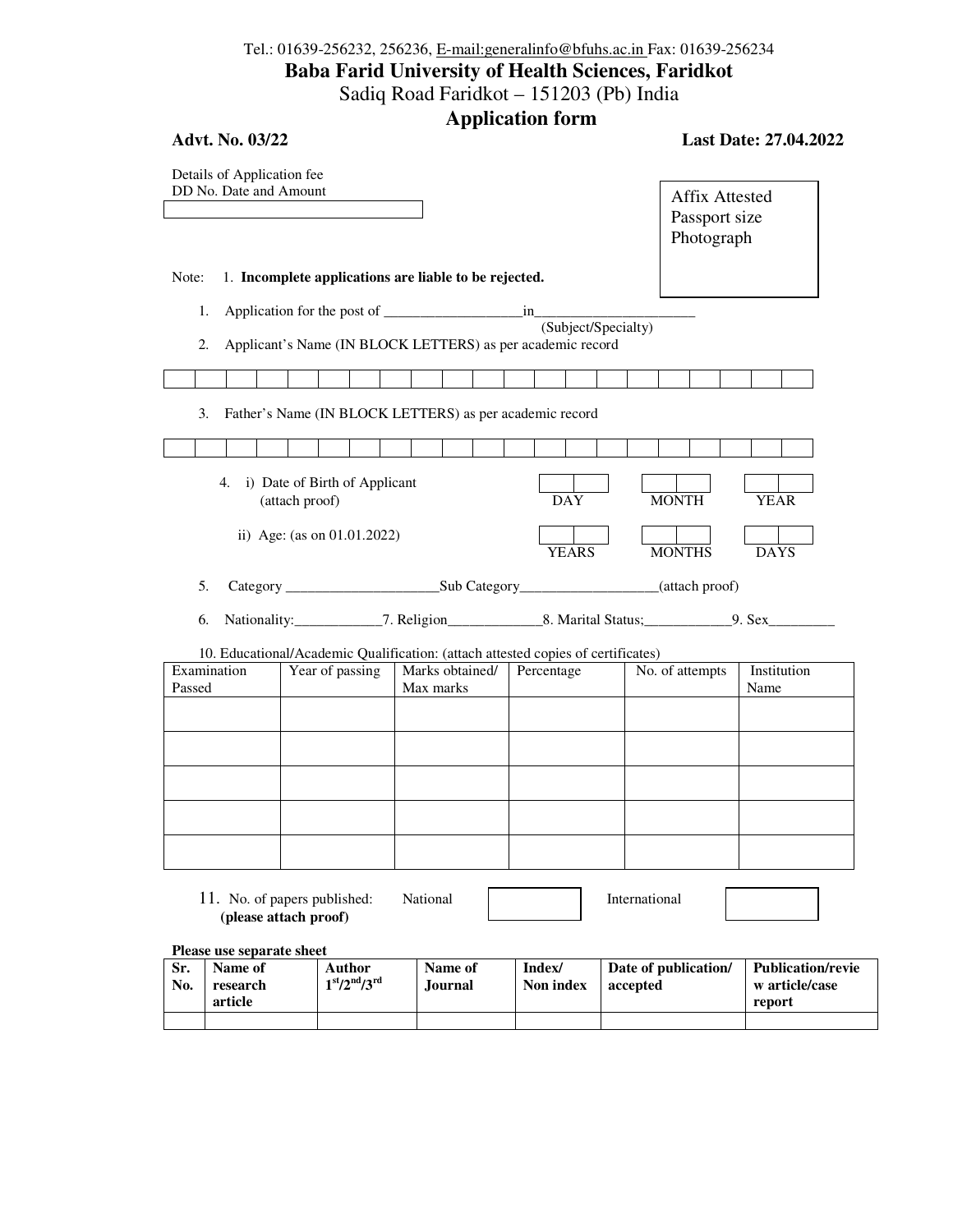## Tel.: 01639-256232, 256236, E-mail:generalinfo@bfuhs.ac.in Fax: 01639-256234 **Baba Farid University of Health Sciences, Faridkot**  Sadiq Road Faridkot – 151203 (Pb) India

**Application form** 

| Advt. No. 03/22                                      |                                                       |                                                                                                                | тррисанон тогин     |                                                      | Last Date: 27.04.2022 |
|------------------------------------------------------|-------------------------------------------------------|----------------------------------------------------------------------------------------------------------------|---------------------|------------------------------------------------------|-----------------------|
| Details of Application fee<br>DD No. Date and Amount |                                                       |                                                                                                                |                     | <b>Affix Attested</b><br>Passport size<br>Photograph |                       |
| Note:                                                |                                                       | 1. Incomplete applications are liable to be rejected.                                                          |                     |                                                      |                       |
| 1.<br>2.                                             |                                                       | Applicant's Name (IN BLOCK LETTERS) as per academic record                                                     | (Subject/Specialty) |                                                      |                       |
|                                                      |                                                       |                                                                                                                |                     |                                                      |                       |
| 3.                                                   |                                                       | Father's Name (IN BLOCK LETTERS) as per academic record                                                        |                     |                                                      |                       |
|                                                      |                                                       |                                                                                                                |                     |                                                      |                       |
| 4.                                                   | i) Date of Birth of Applicant<br>(attach proof)       |                                                                                                                | <b>DAY</b>          | <b>MONTH</b>                                         | YEAR                  |
|                                                      | ii) Age: (as on 01.01.2022)                           |                                                                                                                | <b>YEARS</b>        | <b>MONTHS</b>                                        | <b>DAYS</b>           |
| 5.                                                   |                                                       |                                                                                                                |                     |                                                      |                       |
| 6.                                                   |                                                       | Nationality: ________________7. Religion________________8. Marital Status; ______________9. Sex_______________ |                     |                                                      |                       |
|                                                      |                                                       | 10. Educational/Academic Qualification: (attach attested copies of certificates)                               |                     |                                                      |                       |
| Examination<br>Passed                                | Year of passing                                       | Marks obtained/<br>Max marks                                                                                   | Percentage          | No. of attempts                                      | Institution<br>Name   |
|                                                      |                                                       |                                                                                                                |                     |                                                      |                       |
|                                                      |                                                       |                                                                                                                |                     |                                                      |                       |
|                                                      |                                                       |                                                                                                                |                     |                                                      |                       |
|                                                      |                                                       |                                                                                                                |                     |                                                      |                       |
|                                                      |                                                       |                                                                                                                |                     |                                                      |                       |
|                                                      | 11. No. of papers published:<br>(please attach proof) | National                                                                                                       |                     | International                                        |                       |

**Please use separate sheet** 

| Sr.<br>No. | Name of<br>research<br>article | Author<br>$1st/2nd/3rd$ | Name of<br>.lournal | Index/<br>Non index | Date of publication/<br>accepted | Publication/revie<br>w article/case<br>report |
|------------|--------------------------------|-------------------------|---------------------|---------------------|----------------------------------|-----------------------------------------------|
|            |                                |                         |                     |                     |                                  |                                               |